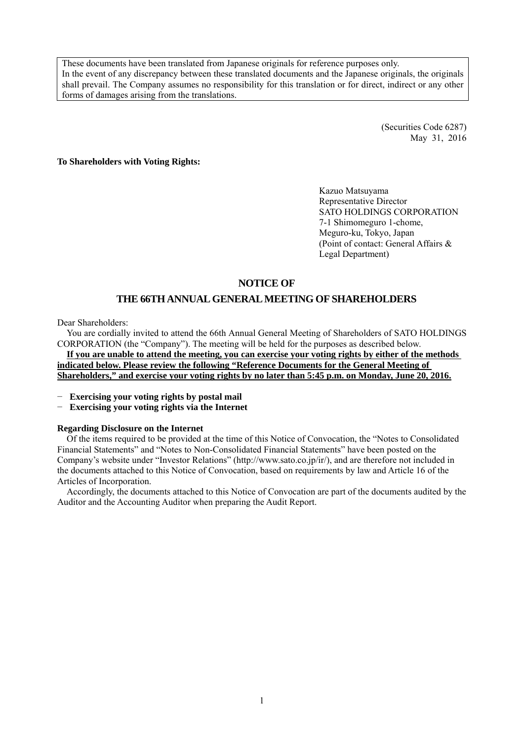These documents have been translated from Japanese originals for reference purposes only. In the event of any discrepancy between these translated documents and the Japanese originals, the originals shall prevail. The Company assumes no responsibility for this translation or for direct, indirect or any other forms of damages arising from the translations.

> (Securities Code 6287) May 31, 2016

**To Shareholders with Voting Rights:** 

Kazuo Matsuyama Representative Director SATO HOLDINGS CORPORATION 7-1 Shimomeguro 1-chome, Meguro-ku, Tokyo, Japan (Point of contact: General Affairs & Legal Department)

# **NOTICE OF**

# **THE 66TH ANNUAL GENERAL MEETING OF SHAREHOLDERS**

Dear Shareholders:

You are cordially invited to attend the 66th Annual General Meeting of Shareholders of SATO HOLDINGS CORPORATION (the "Company"). The meeting will be held for the purposes as described below.

**If you are unable to attend the meeting, you can exercise your voting rights by either of the methods indicated below. Please review the following "Reference Documents for the General Meeting of Shareholders," and exercise your voting rights by no later than 5:45 p.m. on Monday, June 20, 2016.** 

− **Exercising your voting rights by postal mail** 

− **Exercising your voting rights via the Internet** 

#### **Regarding Disclosure on the Internet**

Of the items required to be provided at the time of this Notice of Convocation, the "Notes to Consolidated Financial Statements" and "Notes to Non-Consolidated Financial Statements" have been posted on the Company's website under "Investor Relations" (http://www.sato.co.jp/ir/), and are therefore not included in the documents attached to this Notice of Convocation, based on requirements by law and Article 16 of the Articles of Incorporation.

Accordingly, the documents attached to this Notice of Convocation are part of the documents audited by the Auditor and the Accounting Auditor when preparing the Audit Report.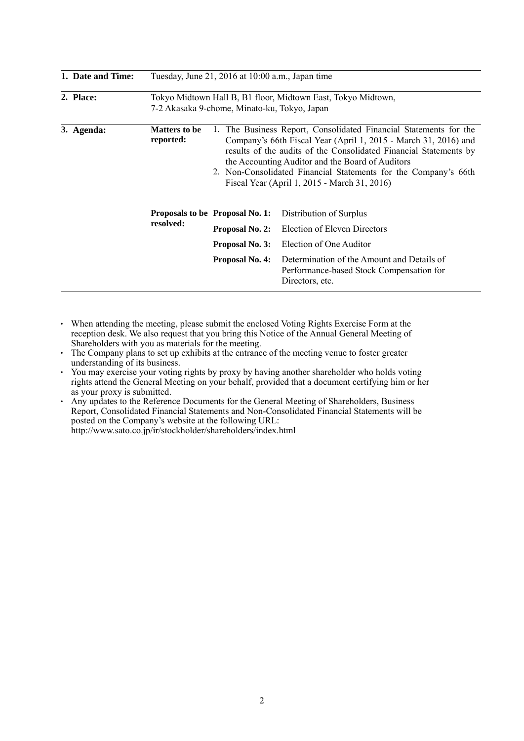|           | 1. Date and Time: |                                   | Tuesday, June 21, 2016 at 10:00 a.m., Japan time |                                                                                                                                                                                                                                                                                                                                                                               |
|-----------|-------------------|-----------------------------------|--------------------------------------------------|-------------------------------------------------------------------------------------------------------------------------------------------------------------------------------------------------------------------------------------------------------------------------------------------------------------------------------------------------------------------------------|
| 2. Place: |                   |                                   | 7-2 Akasaka 9-chome, Minato-ku, Tokyo, Japan     | Tokyo Midtown Hall B, B1 floor, Midtown East, Tokyo Midtown,                                                                                                                                                                                                                                                                                                                  |
|           | 3. Agenda:        | <b>Matters to be</b><br>reported: |                                                  | The Business Report, Consolidated Financial Statements for the<br>Company's 66th Fiscal Year (April 1, 2015 - March 31, 2016) and<br>results of the audits of the Consolidated Financial Statements by<br>the Accounting Auditor and the Board of Auditors<br>2. Non-Consolidated Financial Statements for the Company's 66th<br>Fiscal Year (April 1, 2015 - March 31, 2016) |
|           |                   |                                   | Proposals to be Proposal No. 1:                  | Distribution of Surplus                                                                                                                                                                                                                                                                                                                                                       |
|           |                   | resolved:                         | Proposal No. 2:                                  | Election of Eleven Directors                                                                                                                                                                                                                                                                                                                                                  |
|           |                   |                                   | Proposal No. 3:                                  | Election of One Auditor                                                                                                                                                                                                                                                                                                                                                       |
|           |                   |                                   | <b>Proposal No. 4:</b>                           | Determination of the Amount and Details of<br>Performance-based Stock Compensation for<br>Directors, etc.                                                                                                                                                                                                                                                                     |

- ・ When attending the meeting, please submit the enclosed Voting Rights Exercise Form at the reception desk. We also request that you bring this Notice of the Annual General Meeting of Shareholders with you as materials for the meeting.
- ・ The Company plans to set up exhibits at the entrance of the meeting venue to foster greater understanding of its business.
- ・ You may exercise your voting rights by proxy by having another shareholder who holds voting rights attend the General Meeting on your behalf, provided that a document certifying him or her as your proxy is submitted.
- ・ Any updates to the Reference Documents for the General Meeting of Shareholders, Business Report, Consolidated Financial Statements and Non-Consolidated Financial Statements will be posted on the Company's website at the following URL: http://www.sato.co.jp/ir/stockholder/shareholders/index.html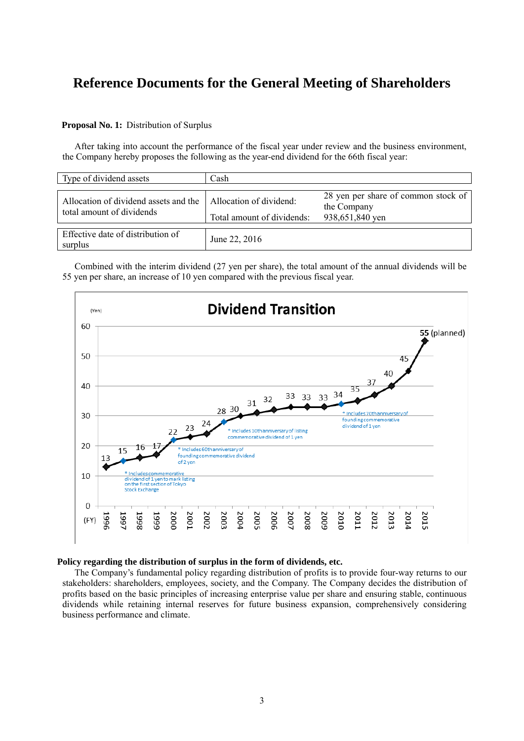# **Reference Documents for the General Meeting of Shareholders**

# **Proposal No. 1:** Distribution of Surplus

After taking into account the performance of the fiscal year under review and the business environment, the Company hereby proposes the following as the year-end dividend for the 66th fiscal year:

| Type of dividend assets                                            | Cash                                                  |                                                                       |  |
|--------------------------------------------------------------------|-------------------------------------------------------|-----------------------------------------------------------------------|--|
| Allocation of dividend assets and the<br>total amount of dividends | Allocation of dividend:<br>Total amount of dividends: | 28 yen per share of common stock of<br>the Company<br>938,651,840 yen |  |
| Effective date of distribution of<br>surplus                       | June 22, 2016                                         |                                                                       |  |

Combined with the interim dividend (27 yen per share), the total amount of the annual dividends will be 55 yen per share, an increase of 10 yen compared with the previous fiscal year.



## **Policy regarding the distribution of surplus in the form of dividends, etc.**

The Company's fundamental policy regarding distribution of profits is to provide four-way returns to our stakeholders: shareholders, employees, society, and the Company. The Company decides the distribution of profits based on the basic principles of increasing enterprise value per share and ensuring stable, continuous dividends while retaining internal reserves for future business expansion, comprehensively considering business performance and climate.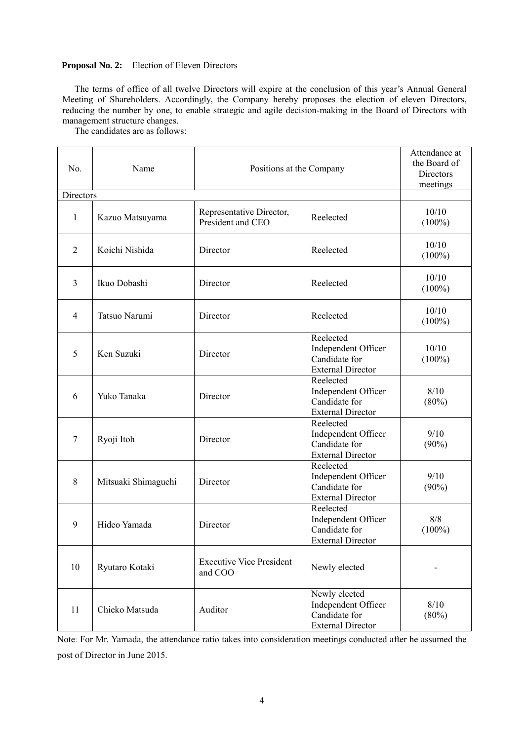# **Proposal No. 2:** Election of Eleven Directors

The terms of office of all twelve Directors will expire at the conclusion of this year's Annual General Meeting of Shareholders. Accordingly, the Company hereby proposes the election of eleven Directors, reducing the number by one, to enable strategic and agile decision-making in the Board of Directors with management structure changes.

The candidates are as follows:

| No.            | Name                | Positions at the Company                      |                                                                                   | Attendance at<br>the Board of<br>Directors<br>meetings |
|----------------|---------------------|-----------------------------------------------|-----------------------------------------------------------------------------------|--------------------------------------------------------|
| Directors      |                     |                                               |                                                                                   |                                                        |
| $\mathbf{1}$   | Kazuo Matsuyama     | Representative Director,<br>President and CEO | Reelected                                                                         | 10/10<br>$(100\%)$                                     |
| $\overline{2}$ | Koichi Nishida      | Director                                      | Reelected                                                                         | 10/10<br>$(100\%)$                                     |
| 3              | Ikuo Dobashi        | Director                                      | Reelected                                                                         | 10/10<br>$(100\%)$                                     |
| $\overline{4}$ | Tatsuo Narumi       | Director                                      | Reelected                                                                         | 10/10<br>$(100\%)$                                     |
| 5              | Ken Suzuki          | Director                                      | Reelected<br>Independent Officer<br>Candidate for<br><b>External Director</b>     | 10/10<br>$(100\%)$                                     |
| 6              | Yuko Tanaka         | Director                                      | Reelected<br>Independent Officer<br>Candidate for<br><b>External Director</b>     | 8/10<br>$(80\%)$                                       |
| $\tau$         | Ryoji Itoh          | Director                                      | Reelected<br>Independent Officer<br>Candidate for<br><b>External Director</b>     | 9/10<br>$(90\%)$                                       |
| $8\,$          | Mitsuaki Shimaguchi | Director                                      | Reelected<br>Independent Officer<br>Candidate for<br><b>External Director</b>     | 9/10<br>$(90\%)$                                       |
| 9              | Hideo Yamada        | Director                                      | Reelected<br>Independent Officer<br>Candidate for<br><b>External Director</b>     | 8/8<br>$(100\%)$                                       |
| 10             | Ryutaro Kotaki      | <b>Executive Vice President</b><br>and COO    | Newly elected                                                                     |                                                        |
| 11             | Chieko Matsuda      | Auditor                                       | Newly elected<br>Independent Officer<br>Candidate for<br><b>External Director</b> | 8/10<br>(80%)                                          |

Note: For Mr. Yamada, the attendance ratio takes into consideration meetings conducted after he assumed the post of Director in June 2015.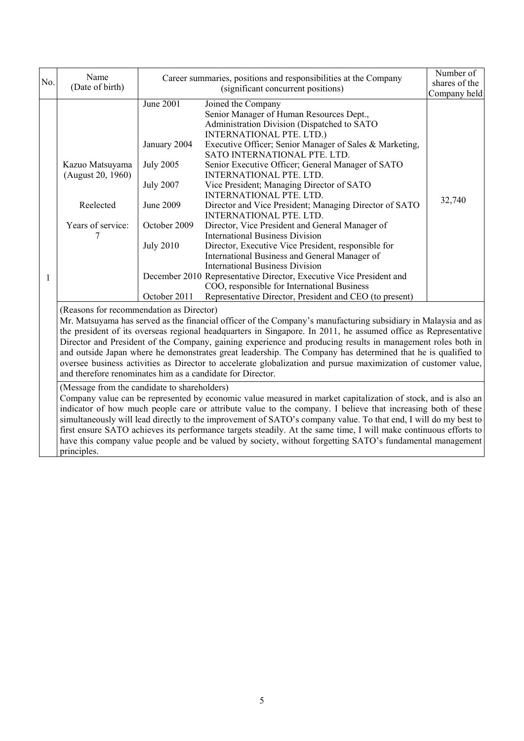|     | Name                                                                                                                                                                                                                                                                                                                                                                                                                                                                                                                                                                                                                                             |                  |                                                                                                                                                                                                                                                                                                                                                                                                                                                                                                                                                                                   | Number of     |
|-----|--------------------------------------------------------------------------------------------------------------------------------------------------------------------------------------------------------------------------------------------------------------------------------------------------------------------------------------------------------------------------------------------------------------------------------------------------------------------------------------------------------------------------------------------------------------------------------------------------------------------------------------------------|------------------|-----------------------------------------------------------------------------------------------------------------------------------------------------------------------------------------------------------------------------------------------------------------------------------------------------------------------------------------------------------------------------------------------------------------------------------------------------------------------------------------------------------------------------------------------------------------------------------|---------------|
| No. | (Date of birth)                                                                                                                                                                                                                                                                                                                                                                                                                                                                                                                                                                                                                                  |                  | Career summaries, positions and responsibilities at the Company<br>(significant concurrent positions)                                                                                                                                                                                                                                                                                                                                                                                                                                                                             | shares of the |
|     |                                                                                                                                                                                                                                                                                                                                                                                                                                                                                                                                                                                                                                                  |                  |                                                                                                                                                                                                                                                                                                                                                                                                                                                                                                                                                                                   | Company held  |
|     |                                                                                                                                                                                                                                                                                                                                                                                                                                                                                                                                                                                                                                                  | June 2001        | Joined the Company<br>Senior Manager of Human Resources Dept.,<br>Administration Division (Dispatched to SATO<br><b>INTERNATIONAL PTE. LTD.)</b>                                                                                                                                                                                                                                                                                                                                                                                                                                  |               |
|     |                                                                                                                                                                                                                                                                                                                                                                                                                                                                                                                                                                                                                                                  | January 2004     | Executive Officer; Senior Manager of Sales & Marketing,<br>SATO INTERNATIONAL PTE. LTD.                                                                                                                                                                                                                                                                                                                                                                                                                                                                                           |               |
|     | Kazuo Matsuyama<br>(August 20, 1960)                                                                                                                                                                                                                                                                                                                                                                                                                                                                                                                                                                                                             | <b>July 2005</b> | Senior Executive Officer; General Manager of SATO<br><b>INTERNATIONAL PTE. LTD.</b>                                                                                                                                                                                                                                                                                                                                                                                                                                                                                               |               |
|     |                                                                                                                                                                                                                                                                                                                                                                                                                                                                                                                                                                                                                                                  | <b>July 2007</b> | Vice President; Managing Director of SATO<br><b>INTERNATIONAL PTE. LTD.</b>                                                                                                                                                                                                                                                                                                                                                                                                                                                                                                       |               |
|     | Reelected                                                                                                                                                                                                                                                                                                                                                                                                                                                                                                                                                                                                                                        | June 2009        | Director and Vice President; Managing Director of SATO<br>INTERNATIONAL PTE. LTD.                                                                                                                                                                                                                                                                                                                                                                                                                                                                                                 | 32,740        |
|     | Years of service:                                                                                                                                                                                                                                                                                                                                                                                                                                                                                                                                                                                                                                | October 2009     | Director, Vice President and General Manager of<br><b>International Business Division</b>                                                                                                                                                                                                                                                                                                                                                                                                                                                                                         |               |
|     |                                                                                                                                                                                                                                                                                                                                                                                                                                                                                                                                                                                                                                                  | <b>July 2010</b> | Director, Executive Vice President, responsible for<br>International Business and General Manager of<br><b>International Business Division</b>                                                                                                                                                                                                                                                                                                                                                                                                                                    |               |
| 1   |                                                                                                                                                                                                                                                                                                                                                                                                                                                                                                                                                                                                                                                  |                  | December 2010 Representative Director, Executive Vice President and                                                                                                                                                                                                                                                                                                                                                                                                                                                                                                               |               |
|     |                                                                                                                                                                                                                                                                                                                                                                                                                                                                                                                                                                                                                                                  | October 2011     | COO, responsible for International Business<br>Representative Director, President and CEO (to present)                                                                                                                                                                                                                                                                                                                                                                                                                                                                            |               |
|     | (Reasons for recommendation as Director)<br>and therefore renominates him as a candidate for Director.                                                                                                                                                                                                                                                                                                                                                                                                                                                                                                                                           |                  | Mr. Matsuyama has served as the financial officer of the Company's manufacturing subsidiary in Malaysia and as<br>the president of its overseas regional headquarters in Singapore. In 2011, he assumed office as Representative<br>Director and President of the Company, gaining experience and producing results in management roles both in<br>and outside Japan where he demonstrates great leadership. The Company has determined that he is qualified to<br>oversee business activities as Director to accelerate globalization and pursue maximization of customer value, |               |
|     | (Message from the candidate to shareholders)<br>Company value can be represented by economic value measured in market capitalization of stock, and is also an<br>indicator of how much people care or attribute value to the company. I believe that increasing both of these<br>simultaneously will lead directly to the improvement of SATO's company value. To that end, I will do my best to<br>first ensure SATO achieves its performance targets steadily. At the same time, I will make continuous efforts to<br>have this company value people and be valued by society, without forgetting SATO's fundamental management<br>principles. |                  |                                                                                                                                                                                                                                                                                                                                                                                                                                                                                                                                                                                   |               |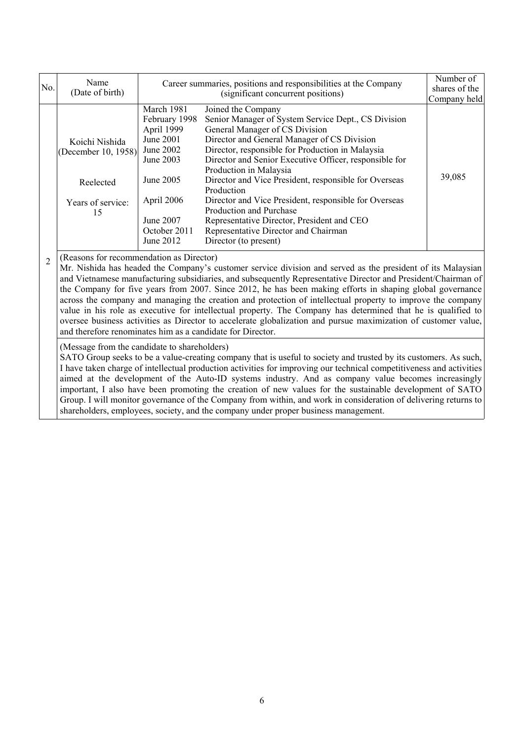| No.            | Name<br>(Date of birth)                                                                                                                                                                                                                                                                                                                                                                                                                                                                              |                                                                                                                                                       | Career summaries, positions and responsibilities at the Company<br>(significant concurrent positions)                                                                                                                                                                                                                                                                                                                                                                                                                                                                        | Number of<br>shares of the<br>Company held |
|----------------|------------------------------------------------------------------------------------------------------------------------------------------------------------------------------------------------------------------------------------------------------------------------------------------------------------------------------------------------------------------------------------------------------------------------------------------------------------------------------------------------------|-------------------------------------------------------------------------------------------------------------------------------------------------------|------------------------------------------------------------------------------------------------------------------------------------------------------------------------------------------------------------------------------------------------------------------------------------------------------------------------------------------------------------------------------------------------------------------------------------------------------------------------------------------------------------------------------------------------------------------------------|--------------------------------------------|
|                | Koichi Nishida<br>(December 10, 1958)<br>Reelected<br>Years of service:<br>15                                                                                                                                                                                                                                                                                                                                                                                                                        | March 1981<br>February 1998<br>April 1999<br>June 2001<br>June 2002<br>June 2003<br>June 2005<br>April 2006<br>June 2007<br>October 2011<br>June 2012 | Joined the Company<br>Senior Manager of System Service Dept., CS Division<br>General Manager of CS Division<br>Director and General Manager of CS Division<br>Director, responsible for Production in Malaysia<br>Director and Senior Executive Officer, responsible for<br>Production in Malaysia<br>Director and Vice President, responsible for Overseas<br>Production<br>Director and Vice President, responsible for Overseas<br>Production and Purchase<br>Representative Director, President and CEO<br>Representative Director and Chairman<br>Director (to present) | 39,085                                     |
| $\overline{2}$ | (Reasons for recommendation as Director)<br>Mr. Nishida has headed the Company's customer service division and served as the president of its Malaysian<br>and Vietnamese manufacturing subsidiaries, and subsequently Representative Director and President/Chairman of<br>the Company for five years from 2007. Since 2012, he has been making efforts in shaping global governance<br>across the company and managing the creation and protection of intellectual property to improve the company |                                                                                                                                                       |                                                                                                                                                                                                                                                                                                                                                                                                                                                                                                                                                                              |                                            |

value in his role as executive for intellectual property. The Company has determined that he is qualified to oversee business activities as Director to accelerate globalization and pursue maximization of customer value,

SATO Group seeks to be a value-creating company that is useful to society and trusted by its customers. As such, I have taken charge of intellectual production activities for improving our technical competitiveness and activities aimed at the development of the Auto-ID systems industry. And as company value becomes increasingly important, I also have been promoting the creation of new values for the sustainable development of SATO Group. I will monitor governance of the Company from within, and work in consideration of delivering returns to

shareholders, employees, society, and the company under proper business management.

and therefore renominates him as a candidate for Director.

(Message from the candidate to shareholders)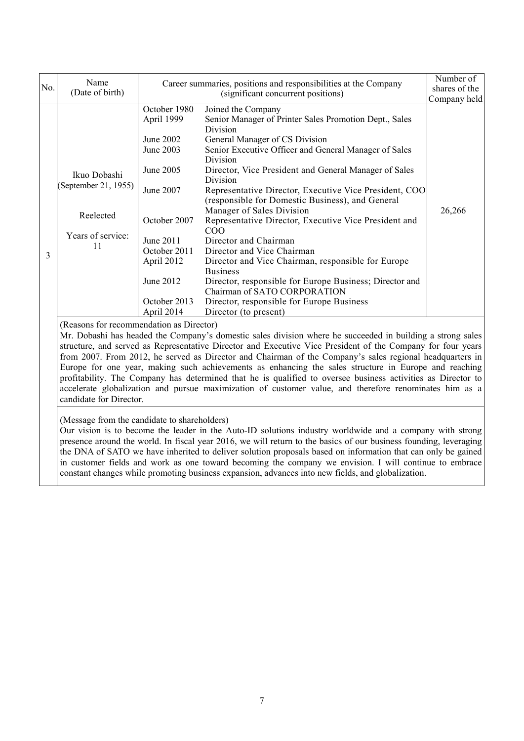| No. | Name<br>(Date of birth)                                                      |                                                                                                                                                                                      | Career summaries, positions and responsibilities at the Company<br>(significant concurrent positions)                                                                                                                                                                                                                                                                                                                                                                                                                                                                                                                                                                                                                                                                                   | Number of<br>shares of the<br>Company held |
|-----|------------------------------------------------------------------------------|--------------------------------------------------------------------------------------------------------------------------------------------------------------------------------------|-----------------------------------------------------------------------------------------------------------------------------------------------------------------------------------------------------------------------------------------------------------------------------------------------------------------------------------------------------------------------------------------------------------------------------------------------------------------------------------------------------------------------------------------------------------------------------------------------------------------------------------------------------------------------------------------------------------------------------------------------------------------------------------------|--------------------------------------------|
| 3   | Ikuo Dobashi<br>(September 21, 1955)<br>Reelected<br>Years of service:<br>11 | October 1980<br>April 1999<br>June 2002<br>June 2003<br>June 2005<br>June 2007<br>October 2007<br>June 2011<br>October 2011<br>April 2012<br>June 2012<br>October 2013<br>April 2014 | Joined the Company<br>Senior Manager of Printer Sales Promotion Dept., Sales<br><b>Division</b><br>General Manager of CS Division<br>Senior Executive Officer and General Manager of Sales<br>Division<br>Director, Vice President and General Manager of Sales<br>Division<br>Representative Director, Executive Vice President, COO<br>(responsible for Domestic Business), and General<br>Manager of Sales Division<br>Representative Director, Executive Vice President and<br>COO<br>Director and Chairman<br>Director and Vice Chairman<br>Director and Vice Chairman, responsible for Europe<br><b>Business</b><br>Director, responsible for Europe Business; Director and<br>Chairman of SATO CORPORATION<br>Director, responsible for Europe Business<br>Director (to present) | 26,266                                     |
|     | (Reasons for recommendation as Director)                                     |                                                                                                                                                                                      |                                                                                                                                                                                                                                                                                                                                                                                                                                                                                                                                                                                                                                                                                                                                                                                         |                                            |

Mr. Dobashi has headed the Company's domestic sales division where he succeeded in building a strong sales structure, and served as Representative Director and Executive Vice President of the Company for four years from 2007. From 2012, he served as Director and Chairman of the Company's sales regional headquarters in Europe for one year, making such achievements as enhancing the sales structure in Europe and reaching profitability. The Company has determined that he is qualified to oversee business activities as Director to accelerate globalization and pursue maximization of customer value, and therefore renominates him as a candidate for Director.

(Message from the candidate to shareholders)

Our vision is to become the leader in the Auto-ID solutions industry worldwide and a company with strong presence around the world. In fiscal year 2016, we will return to the basics of our business founding, leveraging the DNA of SATO we have inherited to deliver solution proposals based on information that can only be gained in customer fields and work as one toward becoming the company we envision. I will continue to embrace constant changes while promoting business expansion, advances into new fields, and globalization.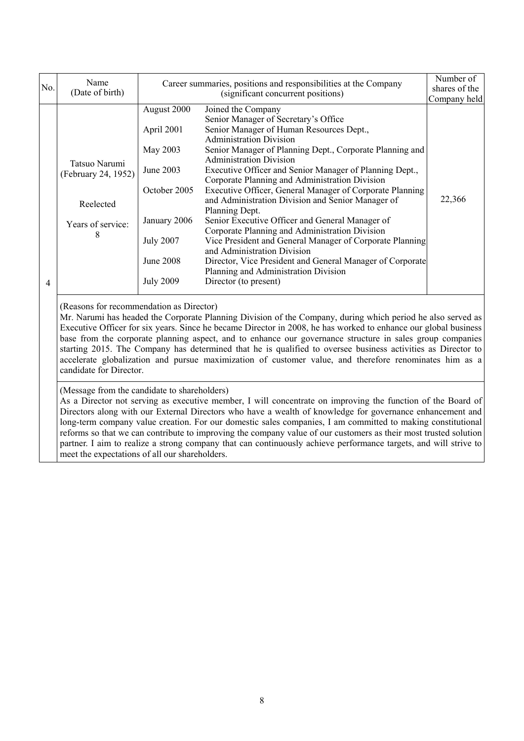| No. | Name<br>(Date of birth)                                                     |                                                                                                                                         | Career summaries, positions and responsibilities at the Company<br>(significant concurrent positions)                                                                                                                                                                                                                                                                                                                                                                                                                                                                                                                                                                                                                                                                                                                | Number of<br>shares of the<br>Company held |
|-----|-----------------------------------------------------------------------------|-----------------------------------------------------------------------------------------------------------------------------------------|----------------------------------------------------------------------------------------------------------------------------------------------------------------------------------------------------------------------------------------------------------------------------------------------------------------------------------------------------------------------------------------------------------------------------------------------------------------------------------------------------------------------------------------------------------------------------------------------------------------------------------------------------------------------------------------------------------------------------------------------------------------------------------------------------------------------|--------------------------------------------|
| 4   | Tatsuo Narumi<br>(February 24, 1952)<br>Reelected<br>Years of service:<br>8 | August 2000<br>April 2001<br>May 2003<br>June 2003<br>October 2005<br>January 2006<br><b>July 2007</b><br>June 2008<br><b>July 2009</b> | Joined the Company<br>Senior Manager of Secretary's Office<br>Senior Manager of Human Resources Dept.,<br><b>Administration Division</b><br>Senior Manager of Planning Dept., Corporate Planning and<br><b>Administration Division</b><br>Executive Officer and Senior Manager of Planning Dept.,<br>Corporate Planning and Administration Division<br>Executive Officer, General Manager of Corporate Planning<br>and Administration Division and Senior Manager of<br>Planning Dept.<br>Senior Executive Officer and General Manager of<br>Corporate Planning and Administration Division<br>Vice President and General Manager of Corporate Planning<br>and Administration Division<br>Director, Vice President and General Manager of Corporate<br>Planning and Administration Division<br>Director (to present) | 22,366                                     |

(Reasons for recommendation as Director)

Mr. Narumi has headed the Corporate Planning Division of the Company, during which period he also served as Executive Officer for six years. Since he became Director in 2008, he has worked to enhance our global business base from the corporate planning aspect, and to enhance our governance structure in sales group companies starting 2015. The Company has determined that he is qualified to oversee business activities as Director to accelerate globalization and pursue maximization of customer value, and therefore renominates him as a candidate for Director.

(Message from the candidate to shareholders)

As a Director not serving as executive member, I will concentrate on improving the function of the Board of Directors along with our External Directors who have a wealth of knowledge for governance enhancement and long-term company value creation. For our domestic sales companies, I am committed to making constitutional reforms so that we can contribute to improving the company value of our customers as their most trusted solution partner. I aim to realize a strong company that can continuously achieve performance targets, and will strive to meet the expectations of all our shareholders.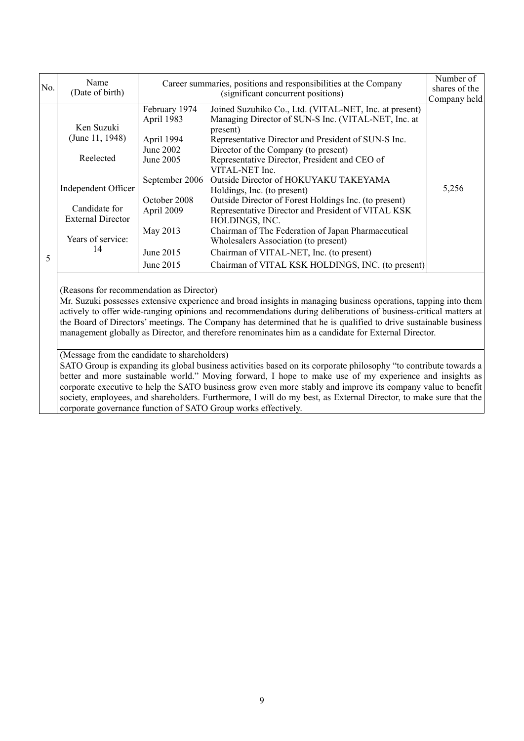| No. | Name<br>(Date of birth)                                                                                                                                                                                                                                                                                                                                                                            |                                                                                                                                                           | Career summaries, positions and responsibilities at the Company<br>(significant concurrent positions)                                                                                                                                                                                                                                                                                                                                                                                                                                                                                                                                                                                               | Number of<br>shares of the<br>Company held |
|-----|----------------------------------------------------------------------------------------------------------------------------------------------------------------------------------------------------------------------------------------------------------------------------------------------------------------------------------------------------------------------------------------------------|-----------------------------------------------------------------------------------------------------------------------------------------------------------|-----------------------------------------------------------------------------------------------------------------------------------------------------------------------------------------------------------------------------------------------------------------------------------------------------------------------------------------------------------------------------------------------------------------------------------------------------------------------------------------------------------------------------------------------------------------------------------------------------------------------------------------------------------------------------------------------------|--------------------------------------------|
| 5   | Ken Suzuki<br>(June 11, 1948)<br>Reelected<br>Independent Officer<br>Candidate for<br><b>External Director</b><br>Years of service:<br>14                                                                                                                                                                                                                                                          | February 1974<br>April 1983<br>April 1994<br>June 2002<br>June 2005<br>September 2006<br>October 2008<br>April 2009<br>May 2013<br>June 2015<br>June 2015 | Joined Suzuhiko Co., Ltd. (VITAL-NET, Inc. at present)<br>Managing Director of SUN-S Inc. (VITAL-NET, Inc. at<br>present)<br>Representative Director and President of SUN-S Inc.<br>Director of the Company (to present)<br>Representative Director, President and CEO of<br>VITAL-NET Inc.<br>Outside Director of HOKUYAKU TAKEYAMA<br>Holdings, Inc. (to present)<br>Outside Director of Forest Holdings Inc. (to present)<br>Representative Director and President of VITAL KSK<br>HOLDINGS, INC.<br>Chairman of The Federation of Japan Pharmaceutical<br>Wholesalers Association (to present)<br>Chairman of VITAL-NET, Inc. (to present)<br>Chairman of VITAL KSK HOLDINGS, INC. (to present) | 5,256                                      |
|     | (Reasons for recommendation as Director)<br>Mr. Suzuki possesses extensive experience and broad insights in managing business operations, tapping into them<br>actively to offer wide-ranging opinions and recommendations during deliberations of business-critical matters at<br>the Board of Directors' meetings. The Company has determined that he is qualified to drive sustainable business |                                                                                                                                                           |                                                                                                                                                                                                                                                                                                                                                                                                                                                                                                                                                                                                                                                                                                     |                                            |

management globally as Director, and therefore renominates him as a candidate for External Director.

(Message from the candidate to shareholders)

SATO Group is expanding its global business activities based on its corporate philosophy "to contribute towards a better and more sustainable world." Moving forward, I hope to make use of my experience and insights as corporate executive to help the SATO business grow even more stably and improve its company value to benefit society, employees, and shareholders. Furthermore, I will do my best, as External Director, to make sure that the corporate governance function of SATO Group works effectively.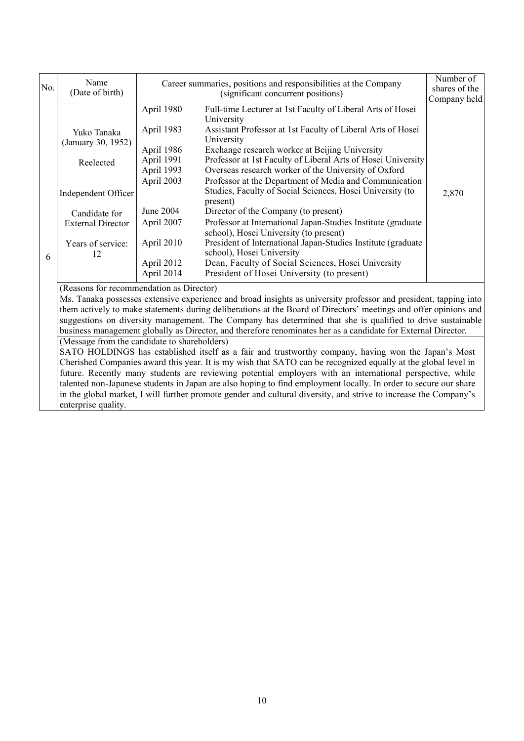|     | Name                                                                                                                                                                                                                                                                                                                                                                                                                                                                                                            |                                                                                                                                         | Career summaries, positions and responsibilities at the Company                                                                                                                                                                                                                                                                                                                                                                                                                                                                                                                                                                                                                                                                                                         | Number of     |  |  |
|-----|-----------------------------------------------------------------------------------------------------------------------------------------------------------------------------------------------------------------------------------------------------------------------------------------------------------------------------------------------------------------------------------------------------------------------------------------------------------------------------------------------------------------|-----------------------------------------------------------------------------------------------------------------------------------------|-------------------------------------------------------------------------------------------------------------------------------------------------------------------------------------------------------------------------------------------------------------------------------------------------------------------------------------------------------------------------------------------------------------------------------------------------------------------------------------------------------------------------------------------------------------------------------------------------------------------------------------------------------------------------------------------------------------------------------------------------------------------------|---------------|--|--|
| No. | (Date of birth)                                                                                                                                                                                                                                                                                                                                                                                                                                                                                                 |                                                                                                                                         | (significant concurrent positions)                                                                                                                                                                                                                                                                                                                                                                                                                                                                                                                                                                                                                                                                                                                                      | shares of the |  |  |
|     |                                                                                                                                                                                                                                                                                                                                                                                                                                                                                                                 |                                                                                                                                         |                                                                                                                                                                                                                                                                                                                                                                                                                                                                                                                                                                                                                                                                                                                                                                         | Company held  |  |  |
| 6   | Yuko Tanaka<br>(January 30, 1952)<br>Reelected<br>Independent Officer<br>Candidate for<br><b>External Director</b><br>Years of service:<br>12                                                                                                                                                                                                                                                                                                                                                                   | April 1980<br>April 1983<br>April 1986<br>April 1991<br>April 1993<br>April 2003<br>June 2004<br>April 2007<br>April 2010<br>April 2012 | Full-time Lecturer at 1st Faculty of Liberal Arts of Hosei<br>University<br>Assistant Professor at 1st Faculty of Liberal Arts of Hosei<br>University<br>Exchange research worker at Beijing University<br>Professor at 1st Faculty of Liberal Arts of Hosei University<br>Overseas research worker of the University of Oxford<br>Professor at the Department of Media and Communication<br>Studies, Faculty of Social Sciences, Hosei University (to<br>present)<br>Director of the Company (to present)<br>Professor at International Japan-Studies Institute (graduate<br>school), Hosei University (to present)<br>President of International Japan-Studies Institute (graduate<br>school), Hosei University<br>Dean, Faculty of Social Sciences, Hosei University | 2,870         |  |  |
|     |                                                                                                                                                                                                                                                                                                                                                                                                                                                                                                                 | April 2014                                                                                                                              | President of Hosei University (to present)                                                                                                                                                                                                                                                                                                                                                                                                                                                                                                                                                                                                                                                                                                                              |               |  |  |
|     | (Reasons for recommendation as Director)<br>Ms. Tanaka possesses extensive experience and broad insights as university professor and president, tapping into<br>them actively to make statements during deliberations at the Board of Directors' meetings and offer opinions and<br>suggestions on diversity management. The Company has determined that she is qualified to drive sustainable<br>business management globally as Director, and therefore renominates her as a candidate for External Director. |                                                                                                                                         |                                                                                                                                                                                                                                                                                                                                                                                                                                                                                                                                                                                                                                                                                                                                                                         |               |  |  |
|     | (Message from the candidate to shareholders)                                                                                                                                                                                                                                                                                                                                                                                                                                                                    |                                                                                                                                         |                                                                                                                                                                                                                                                                                                                                                                                                                                                                                                                                                                                                                                                                                                                                                                         |               |  |  |
|     |                                                                                                                                                                                                                                                                                                                                                                                                                                                                                                                 |                                                                                                                                         | SATO HOLDINGS has established itself as a fair and trustworthy company, having won the Japan's Most                                                                                                                                                                                                                                                                                                                                                                                                                                                                                                                                                                                                                                                                     |               |  |  |
|     |                                                                                                                                                                                                                                                                                                                                                                                                                                                                                                                 |                                                                                                                                         | Cherished Companies award this year. It is my wish that SATO can be recognized equally at the global level in                                                                                                                                                                                                                                                                                                                                                                                                                                                                                                                                                                                                                                                           |               |  |  |
|     |                                                                                                                                                                                                                                                                                                                                                                                                                                                                                                                 |                                                                                                                                         | future. Recently many students are reviewing potential employers with an international perspective, while                                                                                                                                                                                                                                                                                                                                                                                                                                                                                                                                                                                                                                                               |               |  |  |
|     |                                                                                                                                                                                                                                                                                                                                                                                                                                                                                                                 |                                                                                                                                         | talented non-Japanese students in Japan are also hoping to find employment locally. In order to secure our share                                                                                                                                                                                                                                                                                                                                                                                                                                                                                                                                                                                                                                                        |               |  |  |
|     |                                                                                                                                                                                                                                                                                                                                                                                                                                                                                                                 |                                                                                                                                         | in the global market, I will further promote gender and cultural diversity, and strive to increase the Company's                                                                                                                                                                                                                                                                                                                                                                                                                                                                                                                                                                                                                                                        |               |  |  |
|     | enterprise quality.                                                                                                                                                                                                                                                                                                                                                                                                                                                                                             |                                                                                                                                         |                                                                                                                                                                                                                                                                                                                                                                                                                                                                                                                                                                                                                                                                                                                                                                         |               |  |  |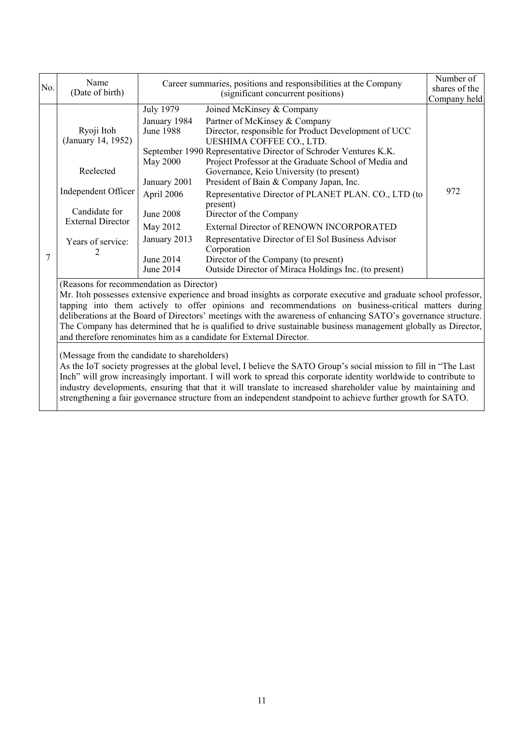| No. | Name<br>(Date of birth)                                                                                                                                                                                                                                                                                                                                                                                                                                                                                                                                                                                                                                                                                                                                                                                                                                                   |                                                                                                                                                                          | Career summaries, positions and responsibilities at the Company<br>(significant concurrent positions)                                                                                                                                                                                                                                                                                                                                                                                                                                                                                                                                                                               | Number of<br>shares of the<br>Company held |  |
|-----|---------------------------------------------------------------------------------------------------------------------------------------------------------------------------------------------------------------------------------------------------------------------------------------------------------------------------------------------------------------------------------------------------------------------------------------------------------------------------------------------------------------------------------------------------------------------------------------------------------------------------------------------------------------------------------------------------------------------------------------------------------------------------------------------------------------------------------------------------------------------------|--------------------------------------------------------------------------------------------------------------------------------------------------------------------------|-------------------------------------------------------------------------------------------------------------------------------------------------------------------------------------------------------------------------------------------------------------------------------------------------------------------------------------------------------------------------------------------------------------------------------------------------------------------------------------------------------------------------------------------------------------------------------------------------------------------------------------------------------------------------------------|--------------------------------------------|--|
| 7   | Ryoji Itoh<br>(January 14, 1952)<br>Reelected<br>Independent Officer<br>Candidate for<br><b>External Director</b><br>Years of service:                                                                                                                                                                                                                                                                                                                                                                                                                                                                                                                                                                                                                                                                                                                                    | <b>July 1979</b><br>January 1984<br><b>June 1988</b><br>May 2000<br>January 2001<br>April 2006<br><b>June 2008</b><br>May 2012<br>January 2013<br>June 2014<br>June 2014 | Joined McKinsey & Company<br>Partner of McKinsey & Company<br>Director, responsible for Product Development of UCC<br>UESHIMA COFFEE CO., LTD.<br>September 1990 Representative Director of Schroder Ventures K.K.<br>Project Professor at the Graduate School of Media and<br>Governance, Keio University (to present)<br>President of Bain & Company Japan, Inc.<br>Representative Director of PLANET PLAN. CO., LTD (to<br>present)<br>Director of the Company<br>External Director of RENOWN INCORPORATED<br>Representative Director of El Sol Business Advisor<br>Corporation<br>Director of the Company (to present)<br>Outside Director of Miraca Holdings Inc. (to present) | 972                                        |  |
|     | (Reasons for recommendation as Director)<br>Mr. Itoh possesses extensive experience and broad insights as corporate executive and graduate school professor,<br>tapping into them actively to offer opinions and recommendations on business-critical matters during<br>deliberations at the Board of Directors' meetings with the awareness of enhancing SATO's governance structure.<br>The Company has determined that he is qualified to drive sustainable business management globally as Director,<br>and therefore renominates him as a candidate for External Director.<br>(Message from the candidate to shareholders)<br>As the IoT society progresses at the global level, I believe the SATO Group's social mission to fill in "The Last"<br>Inch" will grow increasingly important. I will work to spread this corporate identity worldwide to contribute to |                                                                                                                                                                          |                                                                                                                                                                                                                                                                                                                                                                                                                                                                                                                                                                                                                                                                                     |                                            |  |

industry developments, ensuring that that it will translate to increased shareholder value by maintaining and strengthening a fair governance structure from an independent standpoint to achieve further growth for SATO.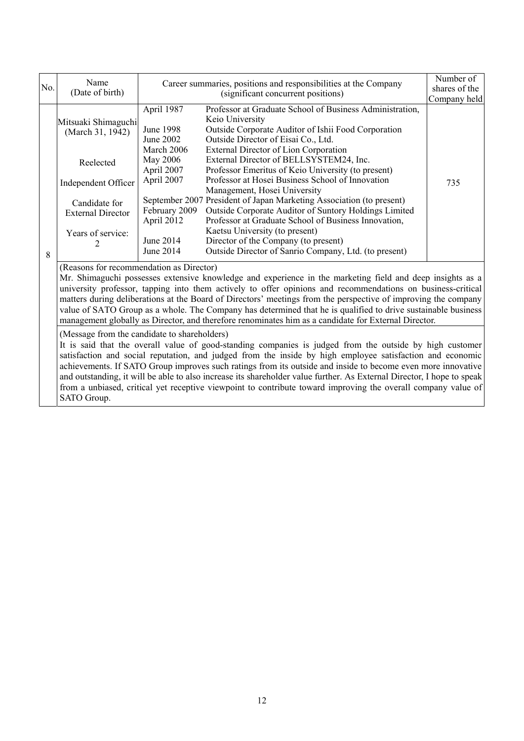| No. | Name<br>(Date of birth)                                                                                                                                                                                                                                                                                                                                                                                                                                                                                                                                                                                                                                                                                                                                                                                                                                                                                                                                                                                  |                                                                                                                                                            | Career summaries, positions and responsibilities at the Company<br>(significant concurrent positions)                                                                                                                                                                                                                                                                                                                                                                                                                                                                                                                                                                                                                               | Number of<br>shares of the<br>Company held |
|-----|----------------------------------------------------------------------------------------------------------------------------------------------------------------------------------------------------------------------------------------------------------------------------------------------------------------------------------------------------------------------------------------------------------------------------------------------------------------------------------------------------------------------------------------------------------------------------------------------------------------------------------------------------------------------------------------------------------------------------------------------------------------------------------------------------------------------------------------------------------------------------------------------------------------------------------------------------------------------------------------------------------|------------------------------------------------------------------------------------------------------------------------------------------------------------|-------------------------------------------------------------------------------------------------------------------------------------------------------------------------------------------------------------------------------------------------------------------------------------------------------------------------------------------------------------------------------------------------------------------------------------------------------------------------------------------------------------------------------------------------------------------------------------------------------------------------------------------------------------------------------------------------------------------------------------|--------------------------------------------|
| 8   | Mitsuaki Shimaguchi<br>(March 31, 1942)<br>Reelected<br>Independent Officer<br>Candidate for<br><b>External Director</b><br>Years of service:                                                                                                                                                                                                                                                                                                                                                                                                                                                                                                                                                                                                                                                                                                                                                                                                                                                            | April 1987<br><b>June 1998</b><br>June 2002<br>March 2006<br>May 2006<br>April 2007<br>April 2007<br>February 2009<br>April 2012<br>June 2014<br>June 2014 | Professor at Graduate School of Business Administration,<br>Keio University<br>Outside Corporate Auditor of Ishii Food Corporation<br>Outside Director of Eisai Co., Ltd.<br>External Director of Lion Corporation<br>External Director of BELLSYSTEM24, Inc.<br>Professor Emeritus of Keio University (to present)<br>Professor at Hosei Business School of Innovation<br>Management, Hosei University<br>September 2007 President of Japan Marketing Association (to present)<br>Outside Corporate Auditor of Suntory Holdings Limited<br>Professor at Graduate School of Business Innovation,<br>Kaetsu University (to present)<br>Director of the Company (to present)<br>Outside Director of Sanrio Company, Ltd. (to present) | 735                                        |
|     | (Reasons for recommendation as Director)<br>Mr. Shimaguchi possesses extensive knowledge and experience in the marketing field and deep insights as a<br>university professor, tapping into them actively to offer opinions and recommendations on business-critical<br>matters during deliberations at the Board of Directors' meetings from the perspective of improving the company<br>value of SATO Group as a whole. The Company has determined that he is qualified to drive sustainable business<br>management globally as Director, and therefore renominates him as a candidate for External Director.<br>(Message from the candidate to shareholders)<br>It is said that the overall value of good-standing companies is judged from the outside by high customer<br>satisfaction and social reputation, and judged from the inside by high employee satisfaction and economic<br>achievements. If SATO Group improves such ratings from its outside and inside to become even more innovative |                                                                                                                                                            |                                                                                                                                                                                                                                                                                                                                                                                                                                                                                                                                                                                                                                                                                                                                     |                                            |

achievements. If SATO Group improves such ratings from its outside and inside to become even more innovative and outstanding, it will be able to also increase its shareholder value further. As External Director, I hope to speak from a unbiased, critical yet receptive viewpoint to contribute toward improving the overall company value of SATO Group.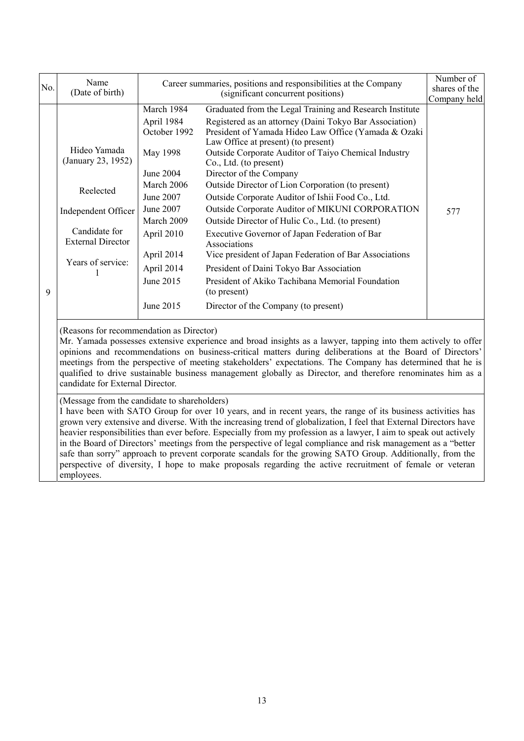| No. | Name<br>(Date of birth)                                                                                                                                                                                                                                                                                                                                                                                                                                                                                                                 |                                                                                                                                                                                             | Career summaries, positions and responsibilities at the Company<br>(significant concurrent positions)                                                                                                                                                                                                                                                                                                                                                                                                                                                                                                                                                                                                                                                                                                                               | Number of<br>shares of the<br>Company held |  |
|-----|-----------------------------------------------------------------------------------------------------------------------------------------------------------------------------------------------------------------------------------------------------------------------------------------------------------------------------------------------------------------------------------------------------------------------------------------------------------------------------------------------------------------------------------------|---------------------------------------------------------------------------------------------------------------------------------------------------------------------------------------------|-------------------------------------------------------------------------------------------------------------------------------------------------------------------------------------------------------------------------------------------------------------------------------------------------------------------------------------------------------------------------------------------------------------------------------------------------------------------------------------------------------------------------------------------------------------------------------------------------------------------------------------------------------------------------------------------------------------------------------------------------------------------------------------------------------------------------------------|--------------------------------------------|--|
| 9   | Hideo Yamada<br>(January 23, 1952)<br>Reelected<br>Independent Officer<br>Candidate for<br><b>External Director</b><br>Years of service:                                                                                                                                                                                                                                                                                                                                                                                                | March 1984<br>April 1984<br>October 1992<br>May 1998<br>June 2004<br>March 2006<br>June 2007<br>June 2007<br>March 2009<br>April 2010<br>April 2014<br>April 2014<br>June 2015<br>June 2015 | Graduated from the Legal Training and Research Institute<br>Registered as an attorney (Daini Tokyo Bar Association)<br>President of Yamada Hideo Law Office (Yamada & Ozaki<br>Law Office at present) (to present)<br>Outside Corporate Auditor of Taiyo Chemical Industry<br>Co., Ltd. (to present)<br>Director of the Company<br>Outside Director of Lion Corporation (to present)<br>Outside Corporate Auditor of Ishii Food Co., Ltd.<br>Outside Corporate Auditor of MIKUNI CORPORATION<br>Outside Director of Hulic Co., Ltd. (to present)<br>Executive Governor of Japan Federation of Bar<br>Associations<br>Vice president of Japan Federation of Bar Associations<br>President of Daini Tokyo Bar Association<br>President of Akiko Tachibana Memorial Foundation<br>(to present)<br>Director of the Company (to present) | 577                                        |  |
|     | (Reasons for recommendation as Director)<br>Mr. Yamada possesses extensive experience and broad insights as a lawyer, tapping into them actively to offer<br>opinions and recommendations on business-critical matters during deliberations at the Board of Directors'<br>meetings from the perspective of meeting stakeholders' expectations. The Company has determined that he is<br>qualified to drive sustainable business management globally as Director, and therefore renominates him as a<br>candidate for External Director. |                                                                                                                                                                                             |                                                                                                                                                                                                                                                                                                                                                                                                                                                                                                                                                                                                                                                                                                                                                                                                                                     |                                            |  |
|     | (Message from the candidate to shareholders)<br>I have been with SATO Group for over 10 years, and in recent years, the range of its business activities has<br>grown very extensive and diverse. With the increasing trend of globalization, I feel that External Directors have<br>heavier responsibilities than ever before. Especially from my profession as a lawyer, I aim to speak out actively                                                                                                                                  |                                                                                                                                                                                             |                                                                                                                                                                                                                                                                                                                                                                                                                                                                                                                                                                                                                                                                                                                                                                                                                                     |                                            |  |

heavier responsibilities than ever before. Especially from my profession as a lawyer, I aim to speak out actively in the Board of Directors' meetings from the perspective of legal compliance and risk management as a "better safe than sorry" approach to prevent corporate scandals for the growing SATO Group. Additionally, from the perspective of diversity, I hope to make proposals regarding the active recruitment of female or veteran employees.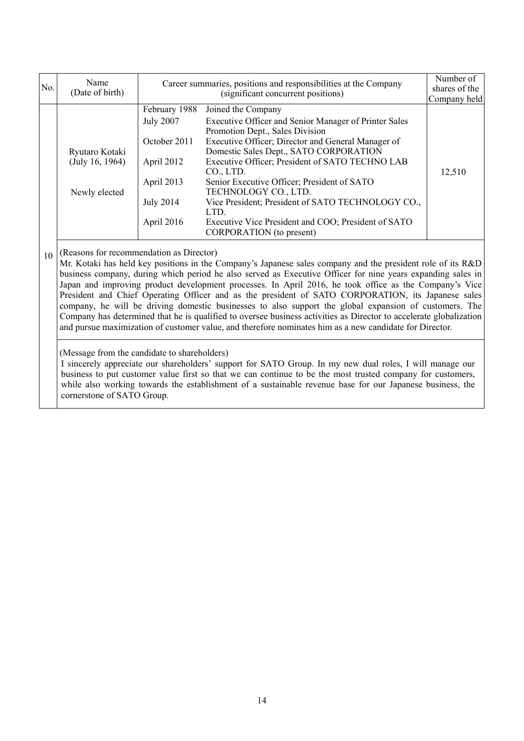| No. | Name<br>(Date of birth)                            | Career summaries, positions and responsibilities at the Company<br>(significant concurrent positions)           |                                                                                                                                                                                                                                                                                                                                                                                                                                                                                                       | Number of<br>shares of the<br>Company held |
|-----|----------------------------------------------------|-----------------------------------------------------------------------------------------------------------------|-------------------------------------------------------------------------------------------------------------------------------------------------------------------------------------------------------------------------------------------------------------------------------------------------------------------------------------------------------------------------------------------------------------------------------------------------------------------------------------------------------|--------------------------------------------|
|     | Ryutaro Kotaki<br>(July 16, 1964)<br>Newly elected | February 1988<br><b>July 2007</b><br>October 2011<br>April 2012<br>April 2013<br><b>July 2014</b><br>April 2016 | Joined the Company<br>Executive Officer and Senior Manager of Printer Sales<br>Promotion Dept., Sales Division<br>Executive Officer; Director and General Manager of<br>Domestic Sales Dept., SATO CORPORATION<br>Executive Officer; President of SATO TECHNO LAB<br>CO., LTD.<br>Senior Executive Officer; President of SATO<br>TECHNOLOGY CO., LTD.<br>Vice President; President of SATO TECHNOLOGY CO.,<br>LTD.<br>Executive Vice President and COO; President of SATO<br>CORPORATION (to present) | 12,510                                     |
| 10  | (Reasons for recommendation as Director)           |                                                                                                                 | Mr. Kotaki has held key positions in the Company's Japanese sales company and the president role of its R&D<br>business company, during which period he also served as Executive Officer for nine years expanding sales in<br>Japan and improving product development processes. In April 2016, he took office as the Company's Vice                                                                                                                                                                  |                                            |

President and Chief Operating Officer and as the president of SATO CORPORATION, its Japanese sales company, he will be driving domestic businesses to also support the global expansion of customers. The Company has determined that he is qualified to oversee business activities as Director to accelerate globalization and pursue maximization of customer value, and therefore nominates him as a new candidate for Director.

(Message from the candidate to shareholders)

I sincerely appreciate our shareholders' support for SATO Group. In my new dual roles, I will manage our business to put customer value first so that we can continue to be the most trusted company for customers, while also working towards the establishment of a sustainable revenue base for our Japanese business, the cornerstone of SATO Group.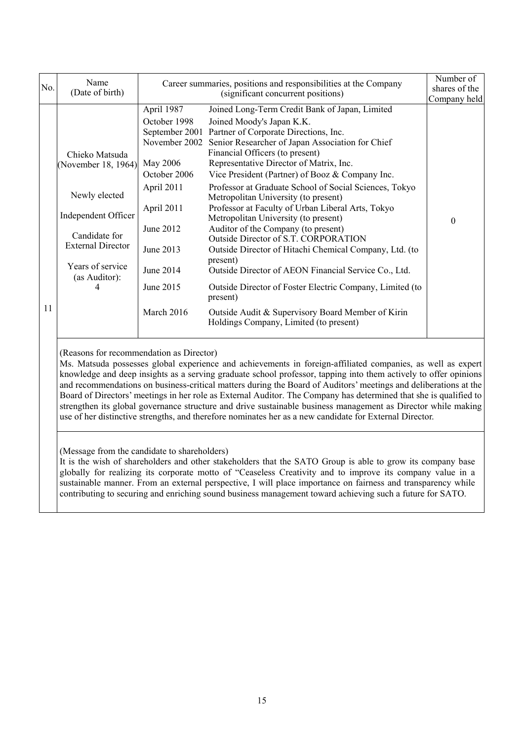| Name<br>No.<br>(Date of birth)                                                                                                                                        | Career summaries, positions and responsibilities at the Company                                                                                                                         | Number of<br>shares of the<br>Company held                                                                                                                                                                                                                                                                                                                                                                                                                                                                                                                                                                                                                                                                                                                                                                                                                                                   |          |
|-----------------------------------------------------------------------------------------------------------------------------------------------------------------------|-----------------------------------------------------------------------------------------------------------------------------------------------------------------------------------------|----------------------------------------------------------------------------------------------------------------------------------------------------------------------------------------------------------------------------------------------------------------------------------------------------------------------------------------------------------------------------------------------------------------------------------------------------------------------------------------------------------------------------------------------------------------------------------------------------------------------------------------------------------------------------------------------------------------------------------------------------------------------------------------------------------------------------------------------------------------------------------------------|----------|
| Chieko Matsuda<br>(November 18, 1964)<br>Newly elected<br>Independent Officer<br>Candidate for<br><b>External Director</b><br>Years of service<br>(as Auditor):<br>11 | April 1987<br>October 1998<br>September 2001<br>November 2002<br>May 2006<br>October 2006<br>April 2011<br>April 2011<br>June 2012<br>June 2013<br>June 2014<br>June 2015<br>March 2016 | Joined Long-Term Credit Bank of Japan, Limited<br>Joined Moody's Japan K.K.<br>Partner of Corporate Directions, Inc.<br>Senior Researcher of Japan Association for Chief<br>Financial Officers (to present)<br>Representative Director of Matrix, Inc.<br>Vice President (Partner) of Booz & Company Inc.<br>Professor at Graduate School of Social Sciences, Tokyo<br>Metropolitan University (to present)<br>Professor at Faculty of Urban Liberal Arts, Tokyo<br>Metropolitan University (to present)<br>Auditor of the Company (to present)<br>Outside Director of S.T. CORPORATION<br>Outside Director of Hitachi Chemical Company, Ltd. (to<br>present)<br>Outside Director of AEON Financial Service Co., Ltd.<br>Outside Director of Foster Electric Company, Limited (to<br>present)<br>Outside Audit & Supervisory Board Member of Kirin<br>Holdings Company, Limited (to present) | $\theta$ |

(Reasons for recommendation as Director)

Ms. Matsuda possesses global experience and achievements in foreign-affiliated companies, as well as expert knowledge and deep insights as a serving graduate school professor, tapping into them actively to offer opinions and recommendations on business-critical matters during the Board of Auditors' meetings and deliberations at the Board of Directors' meetings in her role as External Auditor. The Company has determined that she is qualified to strengthen its global governance structure and drive sustainable business management as Director while making use of her distinctive strengths, and therefore nominates her as a new candidate for External Director.

(Message from the candidate to shareholders)

It is the wish of shareholders and other stakeholders that the SATO Group is able to grow its company base globally for realizing its corporate motto of "Ceaseless Creativity and to improve its company value in a sustainable manner. From an external perspective, I will place importance on fairness and transparency while contributing to securing and enriching sound business management toward achieving such a future for SATO.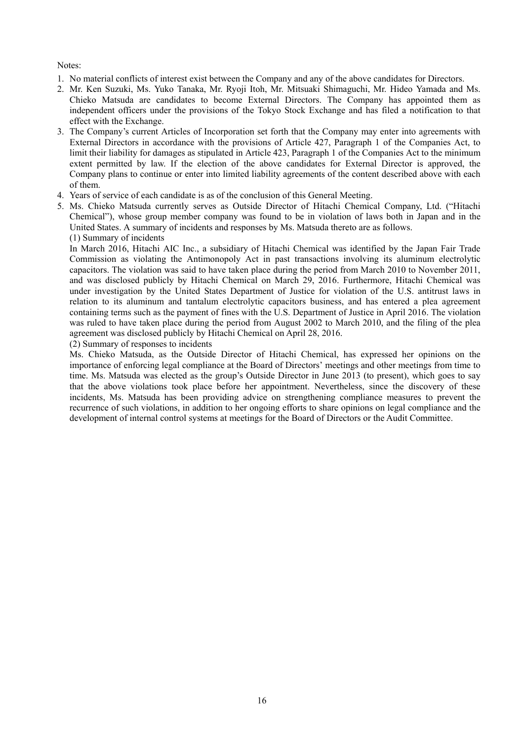## Notes:

- 1. No material conflicts of interest exist between the Company and any of the above candidates for Directors.
- 2. Mr. Ken Suzuki, Ms. Yuko Tanaka, Mr. Ryoji Itoh, Mr. Mitsuaki Shimaguchi, Mr. Hideo Yamada and Ms. Chieko Matsuda are candidates to become External Directors. The Company has appointed them as independent officers under the provisions of the Tokyo Stock Exchange and has filed a notification to that effect with the Exchange.
- 3. The Company's current Articles of Incorporation set forth that the Company may enter into agreements with External Directors in accordance with the provisions of Article 427, Paragraph 1 of the Companies Act, to limit their liability for damages as stipulated in Article 423, Paragraph 1 of the Companies Act to the minimum extent permitted by law. If the election of the above candidates for External Director is approved, the Company plans to continue or enter into limited liability agreements of the content described above with each of them.
- 4. Years of service of each candidate is as of the conclusion of this General Meeting.
- 5. Ms. Chieko Matsuda currently serves as Outside Director of Hitachi Chemical Company, Ltd. ("Hitachi Chemical"), whose group member company was found to be in violation of laws both in Japan and in the United States. A summary of incidents and responses by Ms. Matsuda thereto are as follows. (1) Summary of incidents

In March 2016, Hitachi AIC Inc., a subsidiary of Hitachi Chemical was identified by the Japan Fair Trade Commission as violating the Antimonopoly Act in past transactions involving its aluminum electrolytic capacitors. The violation was said to have taken place during the period from March 2010 to November 2011, and was disclosed publicly by Hitachi Chemical on March 29, 2016. Furthermore, Hitachi Chemical was under investigation by the United States Department of Justice for violation of the U.S. antitrust laws in relation to its aluminum and tantalum electrolytic capacitors business, and has entered a plea agreement containing terms such as the payment of fines with the U.S. Department of Justice in April 2016. The violation was ruled to have taken place during the period from August 2002 to March 2010, and the filing of the plea agreement was disclosed publicly by Hitachi Chemical on April 28, 2016.

(2) Summary of responses to incidents

Ms. Chieko Matsuda, as the Outside Director of Hitachi Chemical, has expressed her opinions on the importance of enforcing legal compliance at the Board of Directors' meetings and other meetings from time to time. Ms. Matsuda was elected as the group's Outside Director in June 2013 (to present), which goes to say that the above violations took place before her appointment. Nevertheless, since the discovery of these incidents, Ms. Matsuda has been providing advice on strengthening compliance measures to prevent the recurrence of such violations, in addition to her ongoing efforts to share opinions on legal compliance and the development of internal control systems at meetings for the Board of Directors or the Audit Committee.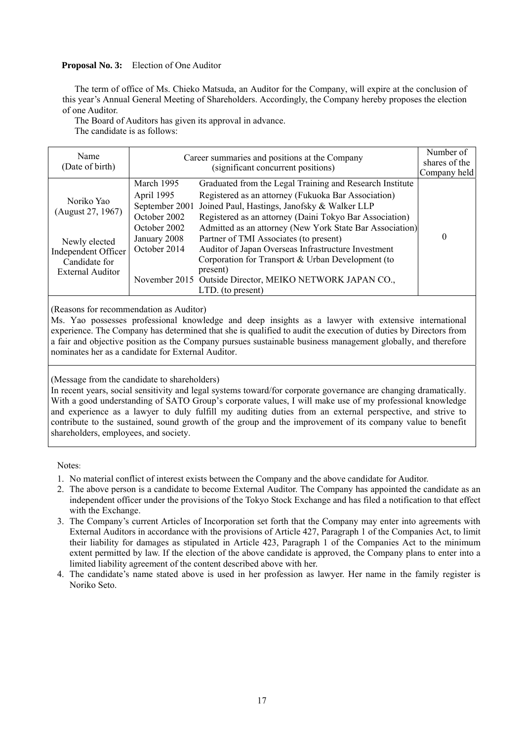# **Proposal No. 3:** Election of One Auditor

The term of office of Ms. Chieko Matsuda, an Auditor for the Company, will expire at the conclusion of this year's Annual General Meeting of Shareholders. Accordingly, the Company hereby proposes the election of one Auditor.

The Board of Auditors has given its approval in advance.

The candidate is as follows:

| Name<br>(Date of birth)                                                                                             | Career summaries and positions at the Company                                                              | Number of<br>shares of the<br>Company held                                                                                                                                                                                                                                                                                                                                                                                                                                                                                                  |   |
|---------------------------------------------------------------------------------------------------------------------|------------------------------------------------------------------------------------------------------------|---------------------------------------------------------------------------------------------------------------------------------------------------------------------------------------------------------------------------------------------------------------------------------------------------------------------------------------------------------------------------------------------------------------------------------------------------------------------------------------------------------------------------------------------|---|
| Noriko Yao<br>(August 27, 1967)<br>Newly elected<br>Independent Officer<br>Candidate for<br><b>External Auditor</b> | March 1995<br>April 1995<br>September 2001<br>October 2002<br>October 2002<br>January 2008<br>October 2014 | Graduated from the Legal Training and Research Institute<br>Registered as an attorney (Fukuoka Bar Association)<br>Joined Paul, Hastings, Janofsky & Walker LLP<br>Registered as an attorney (Daini Tokyo Bar Association)<br>Admitted as an attorney (New York State Bar Association)<br>Partner of TMI Associates (to present)<br>Auditor of Japan Overseas Infrastructure Investment<br>Corporation for Transport & Urban Development (to<br>present)<br>November 2015 Outside Director, MEIKO NETWORK JAPAN CO.,<br>$LTD.$ (to present) | 0 |

(Reasons for recommendation as Auditor)

Ms. Yao possesses professional knowledge and deep insights as a lawyer with extensive international experience. The Company has determined that she is qualified to audit the execution of duties by Directors from a fair and objective position as the Company pursues sustainable business management globally, and therefore nominates her as a candidate for External Auditor.

(Message from the candidate to shareholders)

In recent years, social sensitivity and legal systems toward/for corporate governance are changing dramatically. With a good understanding of SATO Group's corporate values. I will make use of my professional knowledge and experience as a lawyer to duly fulfill my auditing duties from an external perspective, and strive to contribute to the sustained, sound growth of the group and the improvement of its company value to benefit shareholders, employees, and society.

Notes:

- 1. No material conflict of interest exists between the Company and the above candidate for Auditor.
- 2. The above person is a candidate to become External Auditor. The Company has appointed the candidate as an independent officer under the provisions of the Tokyo Stock Exchange and has filed a notification to that effect with the Exchange.
- 3. The Company's current Articles of Incorporation set forth that the Company may enter into agreements with External Auditors in accordance with the provisions of Article 427, Paragraph 1 of the Companies Act, to limit their liability for damages as stipulated in Article 423, Paragraph 1 of the Companies Act to the minimum extent permitted by law. If the election of the above candidate is approved, the Company plans to enter into a limited liability agreement of the content described above with her.
- 4. The candidate's name stated above is used in her profession as lawyer. Her name in the family register is Noriko Seto.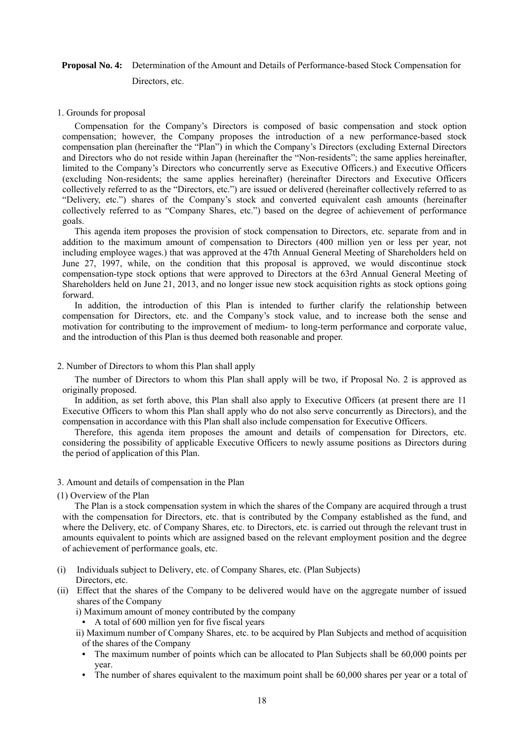# **Proposal No. 4:** Determination of the Amount and Details of Performance-based Stock Compensation for Directors, etc.

#### 1. Grounds for proposal

Compensation for the Company's Directors is composed of basic compensation and stock option compensation; however, the Company proposes the introduction of a new performance-based stock compensation plan (hereinafter the "Plan") in which the Company's Directors (excluding External Directors and Directors who do not reside within Japan (hereinafter the "Non-residents"; the same applies hereinafter, limited to the Company's Directors who concurrently serve as Executive Officers.) and Executive Officers (excluding Non-residents; the same applies hereinafter) (hereinafter Directors and Executive Officers collectively referred to as the "Directors, etc.") are issued or delivered (hereinafter collectively referred to as "Delivery, etc.") shares of the Company's stock and converted equivalent cash amounts (hereinafter collectively referred to as "Company Shares, etc.") based on the degree of achievement of performance goals.

This agenda item proposes the provision of stock compensation to Directors, etc. separate from and in addition to the maximum amount of compensation to Directors (400 million yen or less per year, not including employee wages.) that was approved at the 47th Annual General Meeting of Shareholders held on June 27, 1997, while, on the condition that this proposal is approved, we would discontinue stock compensation-type stock options that were approved to Directors at the 63rd Annual General Meeting of Shareholders held on June 21, 2013, and no longer issue new stock acquisition rights as stock options going forward.

In addition, the introduction of this Plan is intended to further clarify the relationship between compensation for Directors, etc. and the Company's stock value, and to increase both the sense and motivation for contributing to the improvement of medium- to long-term performance and corporate value, and the introduction of this Plan is thus deemed both reasonable and proper.

#### 2. Number of Directors to whom this Plan shall apply

The number of Directors to whom this Plan shall apply will be two, if Proposal No. 2 is approved as originally proposed.

In addition, as set forth above, this Plan shall also apply to Executive Officers (at present there are 11 Executive Officers to whom this Plan shall apply who do not also serve concurrently as Directors), and the compensation in accordance with this Plan shall also include compensation for Executive Officers.

Therefore, this agenda item proposes the amount and details of compensation for Directors, etc. considering the possibility of applicable Executive Officers to newly assume positions as Directors during the period of application of this Plan.

#### 3. Amount and details of compensation in the Plan

(1) Overview of the Plan

The Plan is a stock compensation system in which the shares of the Company are acquired through a trust with the compensation for Directors, etc. that is contributed by the Company established as the fund, and where the Delivery, etc. of Company Shares, etc. to Directors, etc. is carried out through the relevant trust in amounts equivalent to points which are assigned based on the relevant employment position and the degree of achievement of performance goals, etc.

- (i) Individuals subject to Delivery, etc. of Company Shares, etc. (Plan Subjects) Directors, etc.
- (ii) Effect that the shares of the Company to be delivered would have on the aggregate number of issued shares of the Company

i) Maximum amount of money contributed by the company

• A total of 600 million yen for five fiscal years

ii) Maximum number of Company Shares, etc. to be acquired by Plan Subjects and method of acquisition of the shares of the Company

- The maximum number of points which can be allocated to Plan Subjects shall be 60,000 points per year.
- The number of shares equivalent to the maximum point shall be 60,000 shares per year or a total of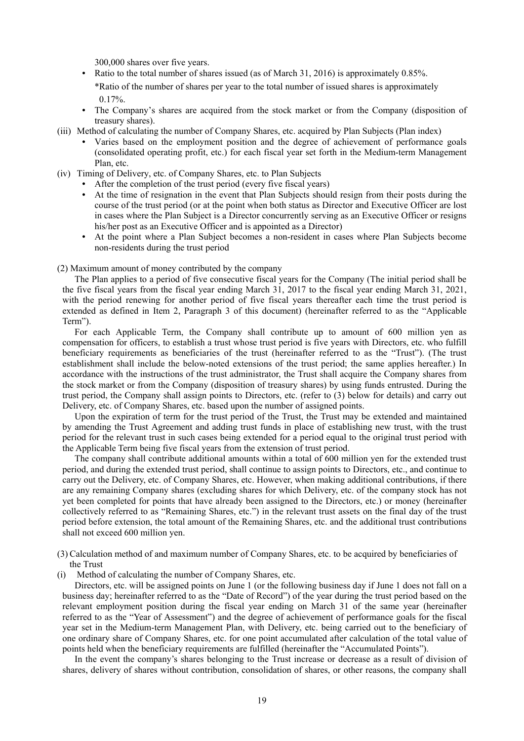300,000 shares over five years.

• Ratio to the total number of shares issued (as of March 31, 2016) is approximately 0.85%.

\*Ratio of the number of shares per year to the total number of issued shares is approximately  $0.17\%$ 

- The Company's shares are acquired from the stock market or from the Company (disposition of treasury shares).
- (iii) Method of calculating the number of Company Shares, etc. acquired by Plan Subjects (Plan index)
	- Varies based on the employment position and the degree of achievement of performance goals (consolidated operating profit, etc.) for each fiscal year set forth in the Medium-term Management Plan, etc.
- (iv) Timing of Delivery, etc. of Company Shares, etc. to Plan Subjects
	- After the completion of the trust period (every five fiscal years)
	- At the time of resignation in the event that Plan Subjects should resign from their posts during the course of the trust period (or at the point when both status as Director and Executive Officer are lost in cases where the Plan Subject is a Director concurrently serving as an Executive Officer or resigns his/her post as an Executive Officer and is appointed as a Director)
	- At the point where a Plan Subject becomes a non-resident in cases where Plan Subjects become non-residents during the trust period

(2) Maximum amount of money contributed by the company

The Plan applies to a period of five consecutive fiscal years for the Company (The initial period shall be the five fiscal years from the fiscal year ending March 31, 2017 to the fiscal year ending March 31, 2021, with the period renewing for another period of five fiscal years thereafter each time the trust period is extended as defined in Item 2, Paragraph 3 of this document) (hereinafter referred to as the "Applicable Term").

For each Applicable Term, the Company shall contribute up to amount of 600 million yen as compensation for officers, to establish a trust whose trust period is five years with Directors, etc. who fulfill beneficiary requirements as beneficiaries of the trust (hereinafter referred to as the "Trust"). (The trust establishment shall include the below-noted extensions of the trust period; the same applies hereafter.) In accordance with the instructions of the trust administrator, the Trust shall acquire the Company shares from the stock market or from the Company (disposition of treasury shares) by using funds entrusted. During the trust period, the Company shall assign points to Directors, etc. (refer to (3) below for details) and carry out Delivery, etc. of Company Shares, etc. based upon the number of assigned points.

Upon the expiration of term for the trust period of the Trust, the Trust may be extended and maintained by amending the Trust Agreement and adding trust funds in place of establishing new trust, with the trust period for the relevant trust in such cases being extended for a period equal to the original trust period with the Applicable Term being five fiscal years from the extension of trust period.

The company shall contribute additional amounts within a total of 600 million yen for the extended trust period, and during the extended trust period, shall continue to assign points to Directors, etc., and continue to carry out the Delivery, etc. of Company Shares, etc. However, when making additional contributions, if there are any remaining Company shares (excluding shares for which Delivery, etc. of the company stock has not yet been completed for points that have already been assigned to the Directors, etc.) or money (hereinafter collectively referred to as "Remaining Shares, etc.") in the relevant trust assets on the final day of the trust period before extension, the total amount of the Remaining Shares, etc. and the additional trust contributions shall not exceed 600 million yen.

(3) Calculation method of and maximum number of Company Shares, etc. to be acquired by beneficiaries of the Trust

(i) Method of calculating the number of Company Shares, etc.

Directors, etc. will be assigned points on June 1 (or the following business day if June 1 does not fall on a business day; hereinafter referred to as the "Date of Record") of the year during the trust period based on the relevant employment position during the fiscal year ending on March 31 of the same year (hereinafter referred to as the "Year of Assessment") and the degree of achievement of performance goals for the fiscal year set in the Medium-term Management Plan, with Delivery, etc. being carried out to the beneficiary of one ordinary share of Company Shares, etc. for one point accumulated after calculation of the total value of points held when the beneficiary requirements are fulfilled (hereinafter the "Accumulated Points").

In the event the company's shares belonging to the Trust increase or decrease as a result of division of shares, delivery of shares without contribution, consolidation of shares, or other reasons, the company shall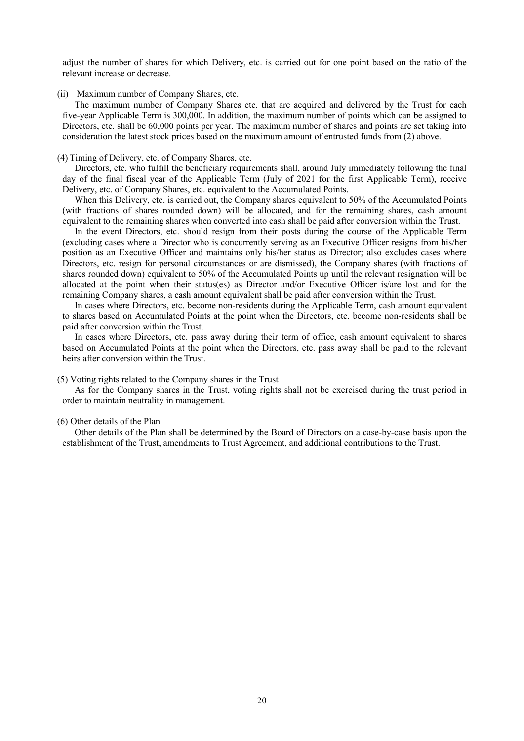adjust the number of shares for which Delivery, etc. is carried out for one point based on the ratio of the relevant increase or decrease.

#### (ii) Maximum number of Company Shares, etc.

The maximum number of Company Shares etc. that are acquired and delivered by the Trust for each five-year Applicable Term is 300,000. In addition, the maximum number of points which can be assigned to Directors, etc. shall be 60,000 points per year. The maximum number of shares and points are set taking into consideration the latest stock prices based on the maximum amount of entrusted funds from (2) above.

#### (4) Timing of Delivery, etc. of Company Shares, etc.

Directors, etc. who fulfill the beneficiary requirements shall, around July immediately following the final day of the final fiscal year of the Applicable Term (July of 2021 for the first Applicable Term), receive Delivery, etc. of Company Shares, etc. equivalent to the Accumulated Points.

When this Delivery, etc. is carried out, the Company shares equivalent to 50% of the Accumulated Points (with fractions of shares rounded down) will be allocated, and for the remaining shares, cash amount equivalent to the remaining shares when converted into cash shall be paid after conversion within the Trust.

In the event Directors, etc. should resign from their posts during the course of the Applicable Term (excluding cases where a Director who is concurrently serving as an Executive Officer resigns from his/her position as an Executive Officer and maintains only his/her status as Director; also excludes cases where Directors, etc. resign for personal circumstances or are dismissed), the Company shares (with fractions of shares rounded down) equivalent to 50% of the Accumulated Points up until the relevant resignation will be allocated at the point when their status(es) as Director and/or Executive Officer is/are lost and for the remaining Company shares, a cash amount equivalent shall be paid after conversion within the Trust.

In cases where Directors, etc. become non-residents during the Applicable Term, cash amount equivalent to shares based on Accumulated Points at the point when the Directors, etc. become non-residents shall be paid after conversion within the Trust.

In cases where Directors, etc. pass away during their term of office, cash amount equivalent to shares based on Accumulated Points at the point when the Directors, etc. pass away shall be paid to the relevant heirs after conversion within the Trust.

#### (5) Voting rights related to the Company shares in the Trust

As for the Company shares in the Trust, voting rights shall not be exercised during the trust period in order to maintain neutrality in management.

#### (6) Other details of the Plan

Other details of the Plan shall be determined by the Board of Directors on a case-by-case basis upon the establishment of the Trust, amendments to Trust Agreement, and additional contributions to the Trust.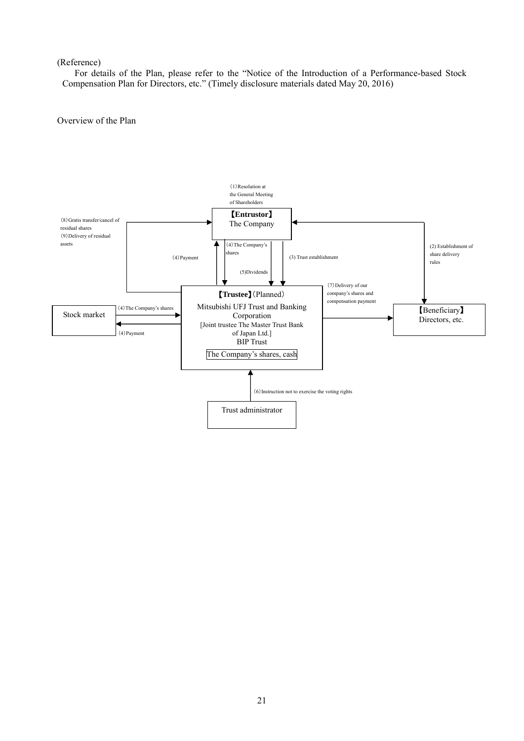## (Reference)

For details of the Plan, please refer to the "Notice of the Introduction of a Performance-based Stock Compensation Plan for Directors, etc." (Timely disclosure materials dated May 20, 2016)

## Overview of the Plan